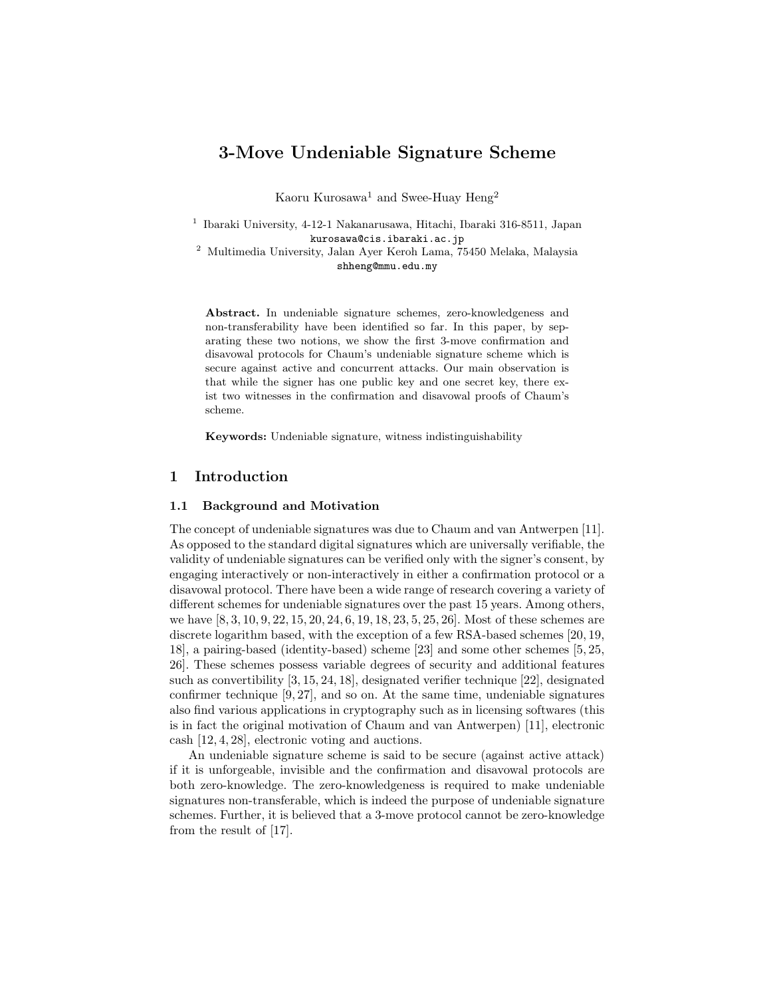# 3-Move Undeniable Signature Scheme

Kaoru Kurosawa<sup>1</sup> and Swee-Huay Heng<sup>2</sup>

1 Ibaraki University, 4-12-1 Nakanarusawa, Hitachi, Ibaraki 316-8511, Japan kurosawa@cis.ibaraki.ac.jp

 $^2$  Multimedia University, Jalan Ayer Keroh Lama, 75450 Melaka, Malaysia shheng@mmu.edu.my

Abstract. In undeniable signature schemes, zero-knowledgeness and non-transferability have been identified so far. In this paper, by separating these two notions, we show the first 3-move confirmation and disavowal protocols for Chaum's undeniable signature scheme which is secure against active and concurrent attacks. Our main observation is that while the signer has one public key and one secret key, there exist two witnesses in the confirmation and disavowal proofs of Chaum's scheme.

Keywords: Undeniable signature, witness indistinguishability

# 1 Introduction

#### 1.1 Background and Motivation

The concept of undeniable signatures was due to Chaum and van Antwerpen [11]. As opposed to the standard digital signatures which are universally verifiable, the validity of undeniable signatures can be verified only with the signer's consent, by engaging interactively or non-interactively in either a confirmation protocol or a disavowal protocol. There have been a wide range of research covering a variety of different schemes for undeniable signatures over the past 15 years. Among others, we have [8, 3, 10, 9, 22, 15, 20, 24, 6, 19, 18, 23, 5, 25, 26]. Most of these schemes are discrete logarithm based, with the exception of a few RSA-based schemes [20, 19, 18], a pairing-based (identity-based) scheme [23] and some other schemes [5, 25, 26]. These schemes possess variable degrees of security and additional features such as convertibility [3, 15, 24, 18], designated verifier technique [22], designated confirmer technique [9, 27], and so on. At the same time, undeniable signatures also find various applications in cryptography such as in licensing softwares (this is in fact the original motivation of Chaum and van Antwerpen) [11], electronic cash [12, 4, 28], electronic voting and auctions.

An undeniable signature scheme is said to be secure (against active attack) if it is unforgeable, invisible and the confirmation and disavowal protocols are both zero-knowledge. The zero-knowledgeness is required to make undeniable signatures non-transferable, which is indeed the purpose of undeniable signature schemes. Further, it is believed that a 3-move protocol cannot be zero-knowledge from the result of [17].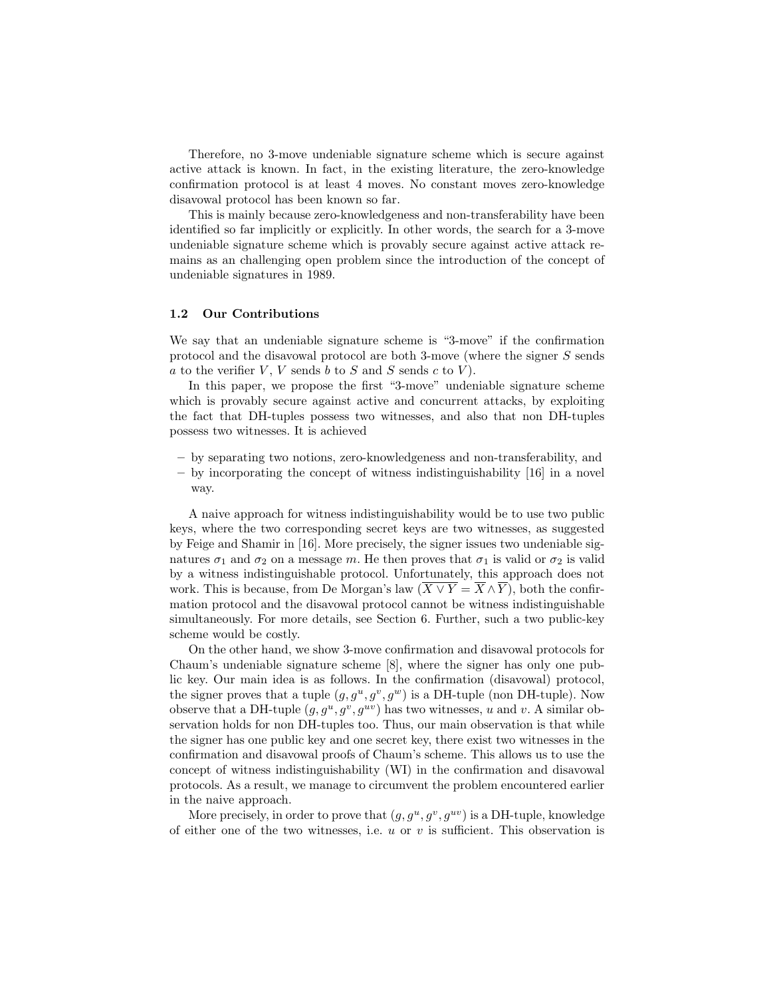Therefore, no 3-move undeniable signature scheme which is secure against active attack is known. In fact, in the existing literature, the zero-knowledge confirmation protocol is at least 4 moves. No constant moves zero-knowledge disavowal protocol has been known so far.

This is mainly because zero-knowledgeness and non-transferability have been identified so far implicitly or explicitly. In other words, the search for a 3-move undeniable signature scheme which is provably secure against active attack remains as an challenging open problem since the introduction of the concept of undeniable signatures in 1989.

#### 1.2 Our Contributions

We say that an undeniable signature scheme is "3-move" if the confirmation protocol and the disavowal protocol are both 3-move (where the signer S sends a to the verifier  $V, V$  sends b to S and S sends c to V).

In this paper, we propose the first "3-move" undeniable signature scheme which is provably secure against active and concurrent attacks, by exploiting the fact that DH-tuples possess two witnesses, and also that non DH-tuples possess two witnesses. It is achieved

- by separating two notions, zero-knowledgeness and non-transferability, and
- by incorporating the concept of witness indistinguishability [16] in a novel way.

A naive approach for witness indistinguishability would be to use two public keys, where the two corresponding secret keys are two witnesses, as suggested by Feige and Shamir in [16]. More precisely, the signer issues two undeniable signatures  $\sigma_1$  and  $\sigma_2$  on a message m. He then proves that  $\sigma_1$  is valid or  $\sigma_2$  is valid by a witness indistinguishable protocol. Unfortunately, this approach does not work. This is because, from De Morgan's law  $(\overline{X \vee Y} = \overline{X} \wedge \overline{Y})$ , both the confirmation protocol and the disavowal protocol cannot be witness indistinguishable simultaneously. For more details, see Section 6. Further, such a two public-key scheme would be costly.

On the other hand, we show 3-move confirmation and disavowal protocols for Chaum's undeniable signature scheme [8], where the signer has only one public key. Our main idea is as follows. In the confirmation (disavowal) protocol, the signer proves that a tuple  $(g, g^u, g^v, g^w)$  is a DH-tuple (non DH-tuple). Now observe that a DH-tuple  $(g, g^u, g^v, g^{uv})$  has two witnesses, u and v. A similar observation holds for non DH-tuples too. Thus, our main observation is that while the signer has one public key and one secret key, there exist two witnesses in the confirmation and disavowal proofs of Chaum's scheme. This allows us to use the concept of witness indistinguishability (WI) in the confirmation and disavowal protocols. As a result, we manage to circumvent the problem encountered earlier in the naive approach.

More precisely, in order to prove that  $(g, g^u, g^v, g^{uv})$  is a DH-tuple, knowledge of either one of the two witnesses, i.e.  $u$  or  $v$  is sufficient. This observation is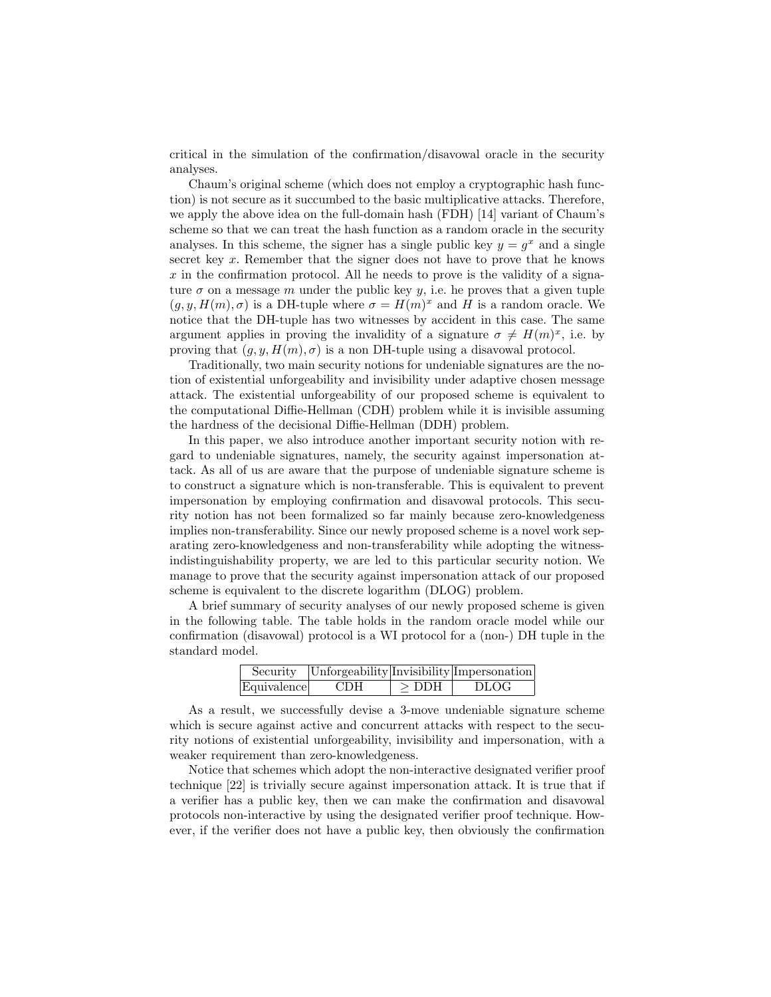critical in the simulation of the confirmation/disavowal oracle in the security analyses.

Chaum's original scheme (which does not employ a cryptographic hash function) is not secure as it succumbed to the basic multiplicative attacks. Therefore, we apply the above idea on the full-domain hash (FDH) [14] variant of Chaum's scheme so that we can treat the hash function as a random oracle in the security analyses. In this scheme, the signer has a single public key  $y = g^x$  and a single secret key x. Remember that the signer does not have to prove that he knows  $x$  in the confirmation protocol. All he needs to prove is the validity of a signature  $\sigma$  on a message m under the public key y, i.e. he proves that a given tuple  $(g, y, H(m), \sigma)$  is a DH-tuple where  $\sigma = H(m)^x$  and H is a random oracle. We notice that the DH-tuple has two witnesses by accident in this case. The same argument applies in proving the invalidity of a signature  $\sigma \neq H(m)^x$ , i.e. by proving that  $(q, y, H(m), \sigma)$  is a non DH-tuple using a disavowal protocol.

Traditionally, two main security notions for undeniable signatures are the notion of existential unforgeability and invisibility under adaptive chosen message attack. The existential unforgeability of our proposed scheme is equivalent to the computational Diffie-Hellman (CDH) problem while it is invisible assuming the hardness of the decisional Diffie-Hellman (DDH) problem.

In this paper, we also introduce another important security notion with regard to undeniable signatures, namely, the security against impersonation attack. As all of us are aware that the purpose of undeniable signature scheme is to construct a signature which is non-transferable. This is equivalent to prevent impersonation by employing confirmation and disavowal protocols. This security notion has not been formalized so far mainly because zero-knowledgeness implies non-transferability. Since our newly proposed scheme is a novel work separating zero-knowledgeness and non-transferability while adopting the witnessindistinguishability property, we are led to this particular security notion. We manage to prove that the security against impersonation attack of our proposed scheme is equivalent to the discrete logarithm (DLOG) problem.

A brief summary of security analyses of our newly proposed scheme is given in the following table. The table holds in the random oracle model while our confirmation (disavowal) protocol is a WI protocol for a (non-) DH tuple in the standard model.

|             | Security Unforgeability Invisibility Impersonation |               |             |
|-------------|----------------------------------------------------|---------------|-------------|
| Equivalence | CDH                                                | $\perp$ > DDH | <b>DLOG</b> |

As a result, we successfully devise a 3-move undeniable signature scheme which is secure against active and concurrent attacks with respect to the security notions of existential unforgeability, invisibility and impersonation, with a weaker requirement than zero-knowledgeness.

Notice that schemes which adopt the non-interactive designated verifier proof technique [22] is trivially secure against impersonation attack. It is true that if a verifier has a public key, then we can make the confirmation and disavowal protocols non-interactive by using the designated verifier proof technique. However, if the verifier does not have a public key, then obviously the confirmation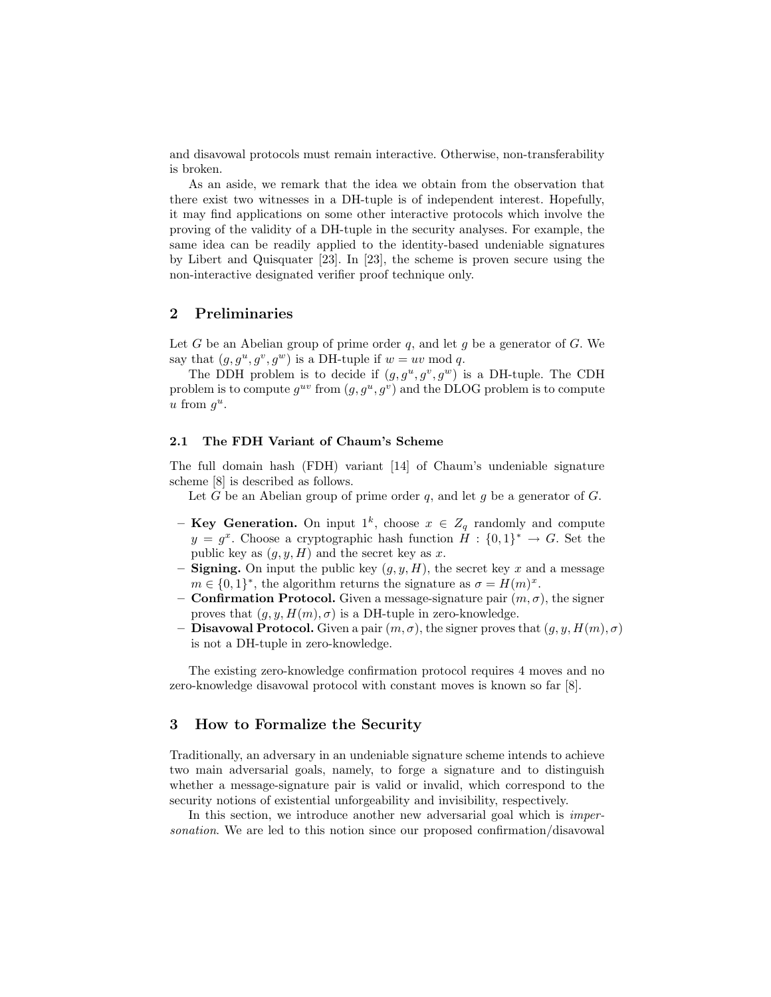and disavowal protocols must remain interactive. Otherwise, non-transferability is broken.

As an aside, we remark that the idea we obtain from the observation that there exist two witnesses in a DH-tuple is of independent interest. Hopefully, it may find applications on some other interactive protocols which involve the proving of the validity of a DH-tuple in the security analyses. For example, the same idea can be readily applied to the identity-based undeniable signatures by Libert and Quisquater [23]. In [23], the scheme is proven secure using the non-interactive designated verifier proof technique only.

### 2 Preliminaries

Let G be an Abelian group of prime order  $q$ , and let  $g$  be a generator of G. We say that  $(g, g^u, g^v, g^w)$  is a DH-tuple if  $w = uv \bmod q$ .

The DDH problem is to decide if  $(g, g^u, g^v, g^w)$  is a DH-tuple. The CDH problem is to compute  $g^{uv}$  from  $(g, g^u, g^v)$  and the DLOG problem is to compute u from  $g^u$ .

#### 2.1 The FDH Variant of Chaum's Scheme

The full domain hash (FDH) variant [14] of Chaum's undeniable signature scheme [8] is described as follows.

Let G be an Abelian group of prime order  $q$ , and let  $g$  be a generator of  $G$ .

- Key Generation. On input  $1^k$ , choose  $x \in Z_q$  randomly and compute  $y = g^x$ . Choose a cryptographic hash function  $H : \{0,1\}^* \to G$ . Set the public key as  $(g, y, H)$  and the secret key as x.
- **Signing.** On input the public key  $(q, y, H)$ , the secret key x and a message  $m \in \{0,1\}^*$ , the algorithm returns the signature as  $\sigma = H(m)^x$ .
- **Confirmation Protocol.** Given a message-signature pair  $(m, \sigma)$ , the signer proves that  $(g, y, H(m), \sigma)$  is a DH-tuple in zero-knowledge.
- **Disavowal Protocol.** Given a pair  $(m, \sigma)$ , the signer proves that  $(g, y, H(m), \sigma)$ is not a DH-tuple in zero-knowledge.

The existing zero-knowledge confirmation protocol requires 4 moves and no zero-knowledge disavowal protocol with constant moves is known so far [8].

### 3 How to Formalize the Security

Traditionally, an adversary in an undeniable signature scheme intends to achieve two main adversarial goals, namely, to forge a signature and to distinguish whether a message-signature pair is valid or invalid, which correspond to the security notions of existential unforgeability and invisibility, respectively.

In this section, we introduce another new adversarial goal which is *imper*sonation. We are led to this notion since our proposed confirmation/disavowal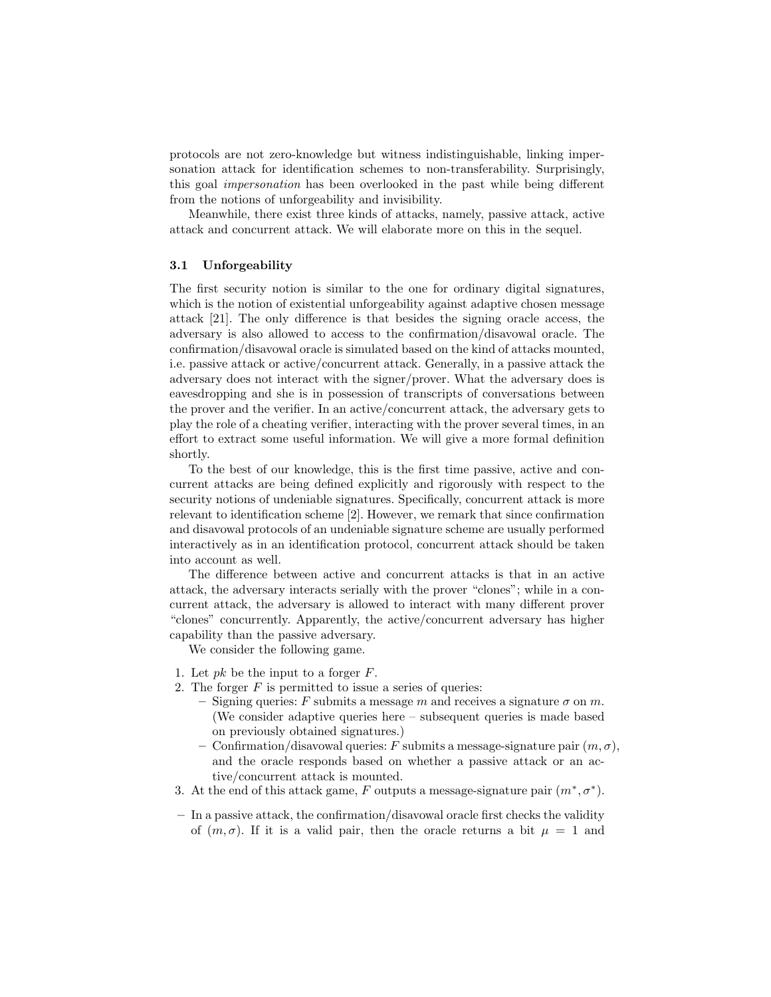protocols are not zero-knowledge but witness indistinguishable, linking impersonation attack for identification schemes to non-transferability. Surprisingly, this goal impersonation has been overlooked in the past while being different from the notions of unforgeability and invisibility.

Meanwhile, there exist three kinds of attacks, namely, passive attack, active attack and concurrent attack. We will elaborate more on this in the sequel.

#### 3.1 Unforgeability

The first security notion is similar to the one for ordinary digital signatures, which is the notion of existential unforgeability against adaptive chosen message attack [21]. The only difference is that besides the signing oracle access, the adversary is also allowed to access to the confirmation/disavowal oracle. The confirmation/disavowal oracle is simulated based on the kind of attacks mounted, i.e. passive attack or active/concurrent attack. Generally, in a passive attack the adversary does not interact with the signer/prover. What the adversary does is eavesdropping and she is in possession of transcripts of conversations between the prover and the verifier. In an active/concurrent attack, the adversary gets to play the role of a cheating verifier, interacting with the prover several times, in an effort to extract some useful information. We will give a more formal definition shortly.

To the best of our knowledge, this is the first time passive, active and concurrent attacks are being defined explicitly and rigorously with respect to the security notions of undeniable signatures. Specifically, concurrent attack is more relevant to identification scheme [2]. However, we remark that since confirmation and disavowal protocols of an undeniable signature scheme are usually performed interactively as in an identification protocol, concurrent attack should be taken into account as well.

The difference between active and concurrent attacks is that in an active attack, the adversary interacts serially with the prover "clones"; while in a concurrent attack, the adversary is allowed to interact with many different prover "clones" concurrently. Apparently, the active/concurrent adversary has higher capability than the passive adversary.

We consider the following game.

- 1. Let  $pk$  be the input to a forger  $F$ .
- 2. The forger  $F$  is permitted to issue a series of queries:
	- Signing queries: F submits a message m and receives a signature  $\sigma$  on m. (We consider adaptive queries here – subsequent queries is made based on previously obtained signatures.)
	- Confirmation/disavowal queries: F submits a message-signature pair  $(m, \sigma)$ , and the oracle responds based on whether a passive attack or an active/concurrent attack is mounted.
- 3. At the end of this attack game, F outputs a message-signature pair  $(m^*, \sigma^*)$ .
- In a passive attack, the confirmation/disavowal oracle first checks the validity of  $(m, \sigma)$ . If it is a valid pair, then the oracle returns a bit  $\mu = 1$  and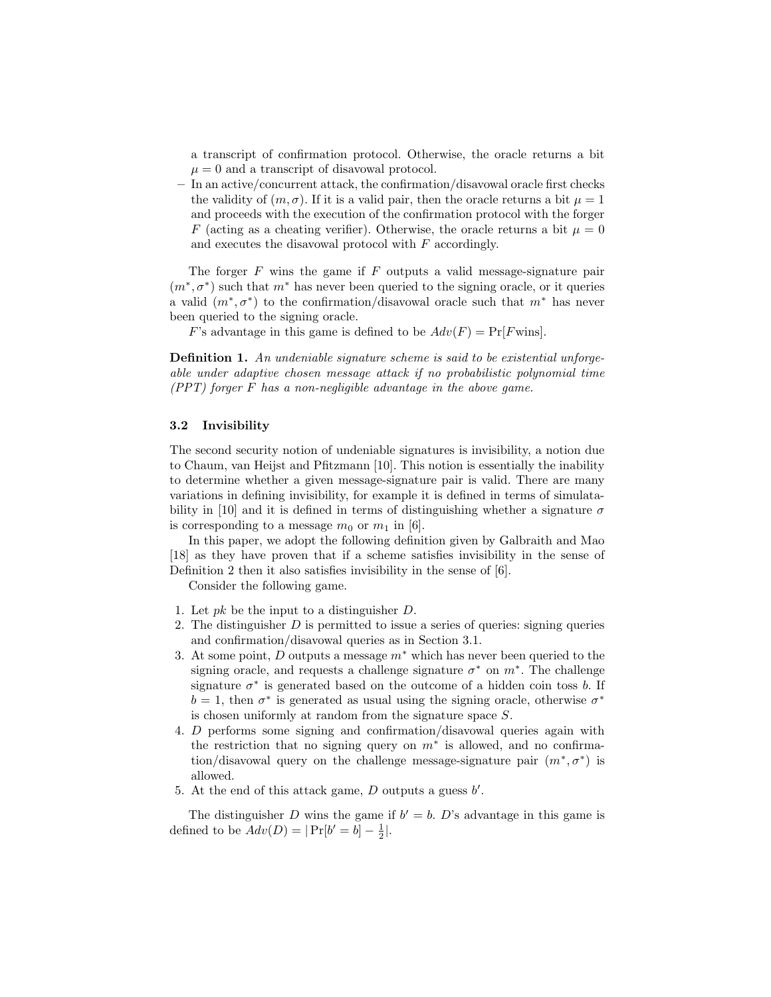a transcript of confirmation protocol. Otherwise, the oracle returns a bit  $\mu = 0$  and a transcript of disavowal protocol.

– In an active/concurrent attack, the confirmation/disavowal oracle first checks the validity of  $(m, \sigma)$ . If it is a valid pair, then the oracle returns a bit  $\mu = 1$ and proceeds with the execution of the confirmation protocol with the forger F (acting as a cheating verifier). Otherwise, the oracle returns a bit  $\mu = 0$ and executes the disavowal protocol with F accordingly.

The forger  $F$  wins the game if  $F$  outputs a valid message-signature pair  $(m^*, \sigma^*)$  such that  $m^*$  has never been queried to the signing oracle, or it queries a valid  $(m^*, \sigma^*)$  to the confirmation/disavowal oracle such that  $m^*$  has never been queried to the signing oracle.

F's advantage in this game is defined to be  $Adv(F) = Pr[F \text{ wins}]$ .

Definition 1. An undeniable signature scheme is said to be existential unforgeable under adaptive chosen message attack if no probabilistic polynomial time (PPT) forger F has a non-negligible advantage in the above game.

#### 3.2 Invisibility

The second security notion of undeniable signatures is invisibility, a notion due to Chaum, van Heijst and Pfitzmann [10]. This notion is essentially the inability to determine whether a given message-signature pair is valid. There are many variations in defining invisibility, for example it is defined in terms of simulatability in [10] and it is defined in terms of distinguishing whether a signature  $\sigma$ is corresponding to a message  $m_0$  or  $m_1$  in [6].

In this paper, we adopt the following definition given by Galbraith and Mao [18] as they have proven that if a scheme satisfies invisibility in the sense of Definition 2 then it also satisfies invisibility in the sense of  $[6]$ .

Consider the following game.

- 1. Let  $pk$  be the input to a distinguisher  $D$ .
- 2. The distinguisher  $D$  is permitted to issue a series of queries: signing queries and confirmation/disavowal queries as in Section 3.1.
- 3. At some point, D outputs a message  $m^*$  which has never been queried to the signing oracle, and requests a challenge signature  $\sigma^*$  on  $m^*$ . The challenge signature  $\sigma^*$  is generated based on the outcome of a hidden coin toss b. If  $b = 1$ , then  $\sigma^*$  is generated as usual using the signing oracle, otherwise  $\sigma^*$ is chosen uniformly at random from the signature space S.
- 4. D performs some signing and confirmation/disavowal queries again with the restriction that no signing query on  $m^*$  is allowed, and no confirmation/disavowal query on the challenge message-signature pair  $(m^*, \sigma^*)$  is allowed.
- 5. At the end of this attack game,  $D$  outputs a guess  $b'$ .

The distinguisher D wins the game if  $b' = b$ . D's advantage in this game is defined to be  $Adv(D) = |\Pr[b' = b] - \frac{1}{2}|.$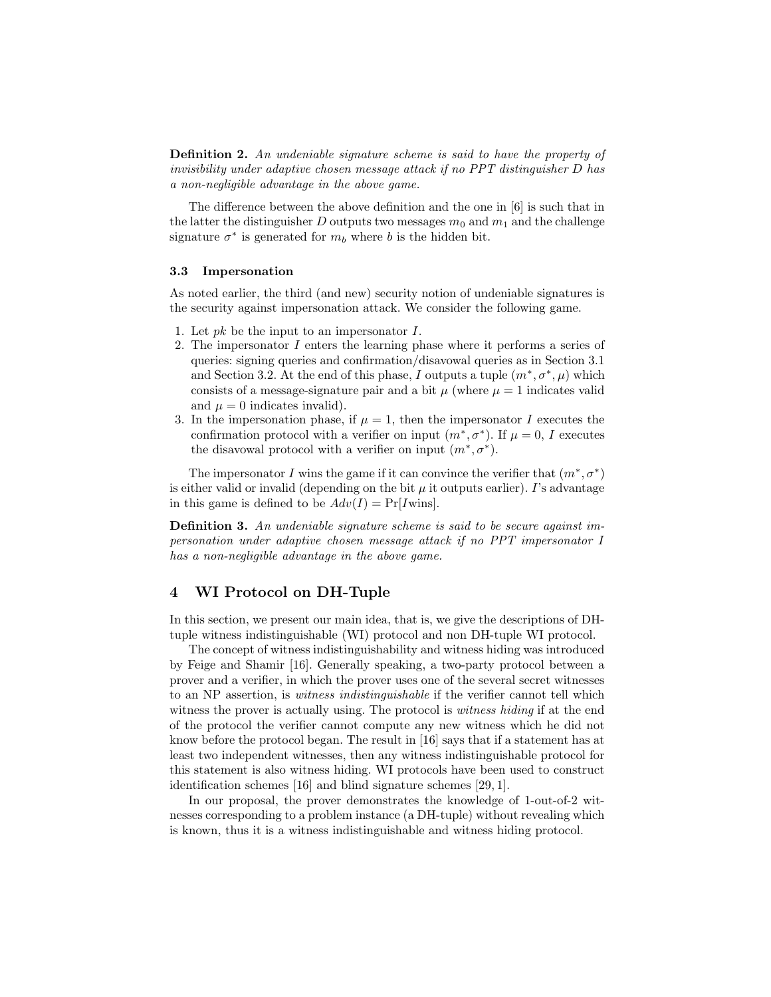Definition 2. An undeniable signature scheme is said to have the property of invisibility under adaptive chosen message attack if no PPT distinguisher D has a non-negligible advantage in the above game.

The difference between the above definition and the one in [6] is such that in the latter the distinguisher D outputs two messages  $m_0$  and  $m_1$  and the challenge signature  $\sigma^*$  is generated for  $m_b$  where b is the hidden bit.

#### 3.3 Impersonation

As noted earlier, the third (and new) security notion of undeniable signatures is the security against impersonation attack. We consider the following game.

- 1. Let  $pk$  be the input to an impersonator  $I$ .
- 2. The impersonator  $I$  enters the learning phase where it performs a series of queries: signing queries and confirmation/disavowal queries as in Section 3.1 and Section 3.2. At the end of this phase, I outputs a tuple  $(m^*, \sigma^*, \mu)$  which consists of a message-signature pair and a bit  $\mu$  (where  $\mu = 1$  indicates valid and  $\mu = 0$  indicates invalid).
- 3. In the impersonation phase, if  $\mu = 1$ , then the impersonator I executes the confirmation protocol with a verifier on input  $(m^*, \sigma^*)$ . If  $\mu = 0, I$  executes the disavowal protocol with a verifier on input  $(m^*, \sigma^*)$ .

The impersonator I wins the game if it can convince the verifier that  $(m^*, \sigma^*)$ is either valid or invalid (depending on the bit  $\mu$  it outputs earlier). I's advantage in this game is defined to be  $Adv(I) = Pr[Iwins]$ .

Definition 3. An undeniable signature scheme is said to be secure against impersonation under adaptive chosen message attack if no PPT impersonator I has a non-negligible advantage in the above game.

### 4 WI Protocol on DH-Tuple

In this section, we present our main idea, that is, we give the descriptions of DHtuple witness indistinguishable (WI) protocol and non DH-tuple WI protocol.

The concept of witness indistinguishability and witness hiding was introduced by Feige and Shamir [16]. Generally speaking, a two-party protocol between a prover and a verifier, in which the prover uses one of the several secret witnesses to an NP assertion, is witness indistinguishable if the verifier cannot tell which witness the prover is actually using. The protocol is *witness hiding* if at the end of the protocol the verifier cannot compute any new witness which he did not know before the protocol began. The result in [16] says that if a statement has at least two independent witnesses, then any witness indistinguishable protocol for this statement is also witness hiding. WI protocols have been used to construct identification schemes [16] and blind signature schemes [29, 1].

In our proposal, the prover demonstrates the knowledge of 1-out-of-2 witnesses corresponding to a problem instance (a DH-tuple) without revealing which is known, thus it is a witness indistinguishable and witness hiding protocol.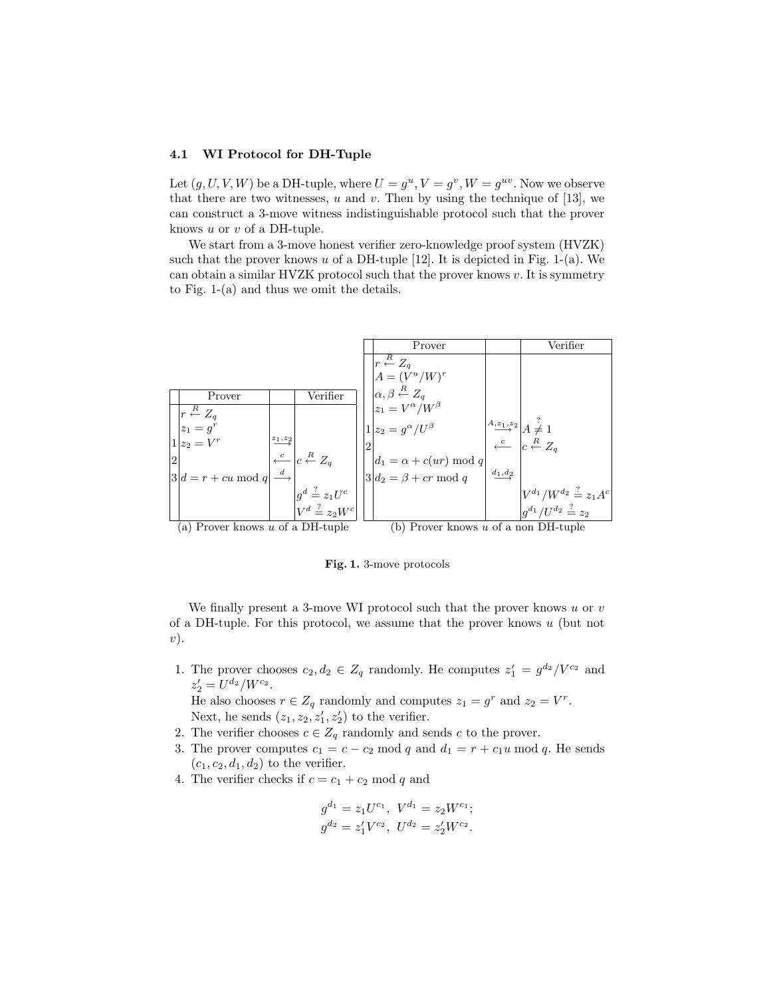#### 4.1 WI Protocol for DH-Tuple

Let  $(g, U, V, W)$  be a DH-tuple, where  $U = g^u, V = g^v, W = g^{uv}$ . Now we observe that there are two witnesses, u and v. Then by using the technique of [13], we can construct a 3-move witness indistinguishable protocol such that the prover knows u or v of a DH-tuple.

We start from a 3-move honest verifier zero-knowledge proof system (HVZK) such that the prover knows  $u$  of a DH-tuple [12]. It is depicted in Fig. 1-(a). We can obtain a similar HVZK protocol such that the prover knows  $v$ . It is symmetry to Fig. 1-(a) and thus we omit the details.



Fig. 1. 3-move protocols

We finally present a 3-move WI protocol such that the prover knows  $u$  or  $v$ of a DH-tuple. For this protocol, we assume that the prover knows  $u$  (but not v).

1. The prover chooses  $c_2, d_2 \in Z_q$  randomly. He computes  $z'_1 = g^{d_2}/V^{c_2}$  and  $z'_2 = U^{d_2}/W^{c_2}.$ 

He also chooses  $r \in Z_q$  randomly and computes  $z_1 = g^r$  and  $z_2 = V^r$ . Next, he sends  $(z_1, z_2, z'_1, z'_2)$  to the verifier.

- 2. The verifier chooses  $c \in Z_q$  randomly and sends c to the prover.
- 3. The prover computes  $c_1 = c c_2 \mod q$  and  $d_1 = r + c_1u \mod q$ . He sends  $(c_1, c_2, d_1, d_2)$  to the verifier.
- 4. The verifier checks if  $c = c_1 + c_2 \mod q$  and

$$
g^{d_1} = z_1 U^{c_1}, \ V^{d_1} = z_2 W^{c_1};
$$
  

$$
g^{d_2} = z'_1 V^{c_2}, \ U^{d_2} = z'_2 W^{c_2}.
$$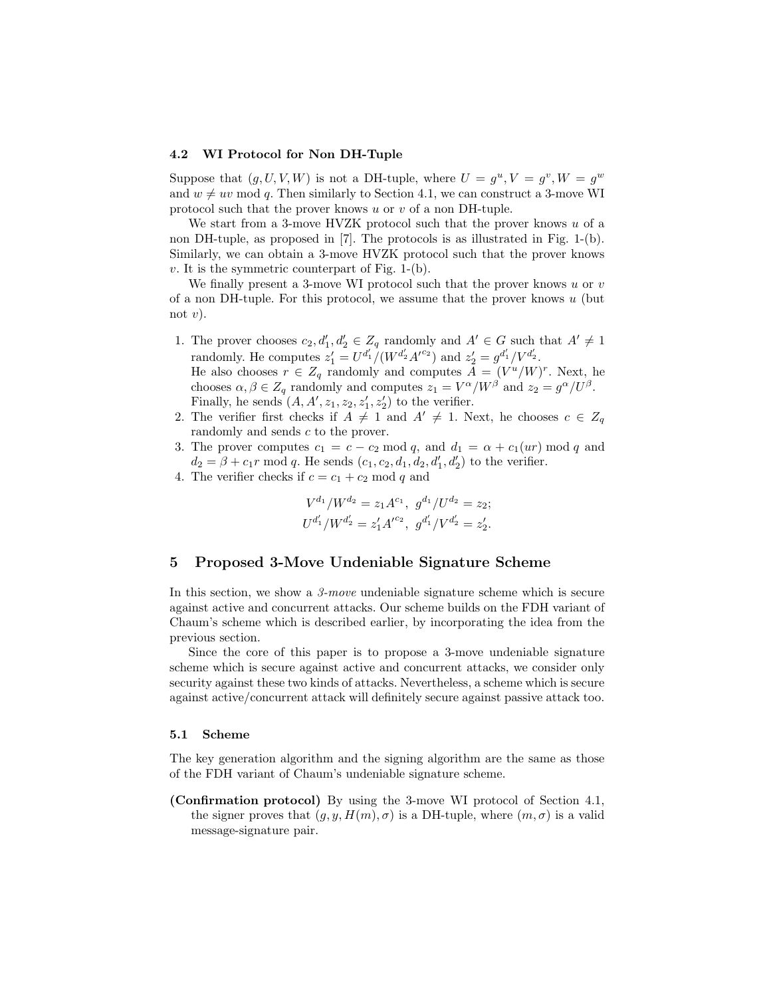#### 4.2 WI Protocol for Non DH-Tuple

Suppose that  $(g, U, V, W)$  is not a DH-tuple, where  $U = g^u, V = g^v, W = g^w$ and  $w \neq uv \mod q$ . Then similarly to Section 4.1, we can construct a 3-move WI protocol such that the prover knows u or v of a non DH-tuple.

We start from a 3-move HVZK protocol such that the prover knows  $u$  of a non DH-tuple, as proposed in [7]. The protocols is as illustrated in Fig. 1-(b). Similarly, we can obtain a 3-move HVZK protocol such that the prover knows  $v$ . It is the symmetric counterpart of Fig. 1-(b).

We finally present a 3-move WI protocol such that the prover knows  $u$  or  $v$ of a non DH-tuple. For this protocol, we assume that the prover knows  $u$  (but not  $v$ ).

- 1. The prover chooses  $c_2, d'_1, d'_2 \in Z_q$  randomly and  $A' \in G$  such that  $A' \neq 1$ randomly. He computes  $z_1' = U^{d_1'}/(W^{d_2'}A'^{c_2})$  and  $z_2' = g^{d_1'}/V^{d_2'}.$ He also chooses  $r \in Z_q$  randomly and computes  $A = (V^u/W)^r$ . Next, he chooses  $\alpha, \beta \in Z_q$  randomly and computes  $z_1 = V^{\alpha}/W^{\beta}$  and  $z_2 = g^{\alpha}/U^{\beta}$ . Finally, he sends  $(A, A', z_1, z_2, z'_1, z'_2)$  to the verifier.
- 2. The verifier first checks if  $A \neq 1$  and  $A' \neq 1$ . Next, he chooses  $c \in Z_q$ randomly and sends c to the prover.
- 3. The prover computes  $c_1 = c c_2 \mod q$ , and  $d_1 = \alpha + c_1(ur) \mod q$  and  $d_2 = \beta + c_1 r \mod q$ . He sends  $(c_1, c_2, d_1, d_2, d'_1, d'_2)$  to the verifier.
- 4. The verifier checks if  $c = c_1 + c_2 \mod q$  and

$$
V^{d_1}/W^{d_2} = z_1 A^{c_1}, \ g^{d_1}/U^{d_2} = z_2;
$$
  

$$
U^{d'_1}/W^{d'_2} = z'_1 A'^{c_2}, \ g^{d'_1}/V^{d'_2} = z'_2.
$$

### 5 Proposed 3-Move Undeniable Signature Scheme

In this section, we show a 3-move undeniable signature scheme which is secure against active and concurrent attacks. Our scheme builds on the FDH variant of Chaum's scheme which is described earlier, by incorporating the idea from the previous section.

Since the core of this paper is to propose a 3-move undeniable signature scheme which is secure against active and concurrent attacks, we consider only security against these two kinds of attacks. Nevertheless, a scheme which is secure against active/concurrent attack will definitely secure against passive attack too.

#### 5.1 Scheme

The key generation algorithm and the signing algorithm are the same as those of the FDH variant of Chaum's undeniable signature scheme.

(Confirmation protocol) By using the 3-move WI protocol of Section 4.1, the signer proves that  $(g, y, H(m), \sigma)$  is a DH-tuple, where  $(m, \sigma)$  is a valid message-signature pair.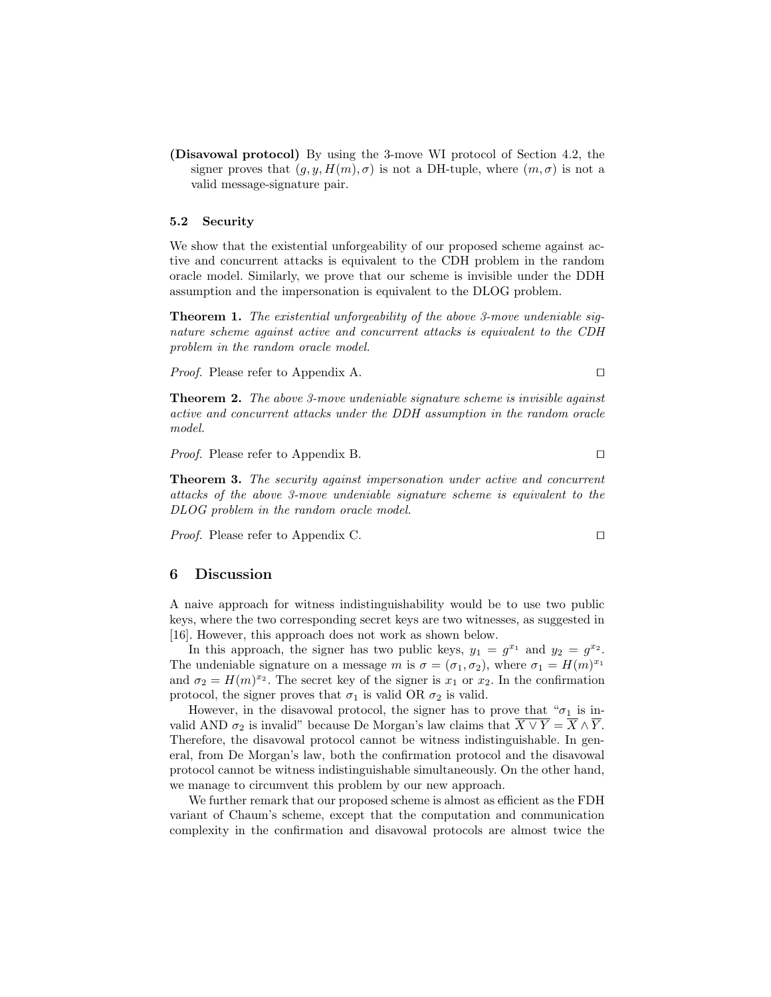(Disavowal protocol) By using the 3-move WI protocol of Section 4.2, the signer proves that  $(g, y, H(m), \sigma)$  is not a DH-tuple, where  $(m, \sigma)$  is not a valid message-signature pair.

#### 5.2 Security

We show that the existential unforgeability of our proposed scheme against active and concurrent attacks is equivalent to the CDH problem in the random oracle model. Similarly, we prove that our scheme is invisible under the DDH assumption and the impersonation is equivalent to the DLOG problem.

Theorem 1. The existential unforgeability of the above 3-move undeniable signature scheme against active and concurrent attacks is equivalent to the CDH problem in the random oracle model.

*Proof.* Please refer to Appendix A.  $\Box$ 

**Theorem 2.** The above 3-move undeniable signature scheme is invisible against active and concurrent attacks under the DDH assumption in the random oracle model.

*Proof.* Please refer to Appendix B.  $\Box$ 

Theorem 3. The security against impersonation under active and concurrent attacks of the above 3-move undeniable signature scheme is equivalent to the DLOG problem in the random oracle model.

*Proof.* Please refer to Appendix C.  $\Box$ 

### 6 Discussion

A naive approach for witness indistinguishability would be to use two public keys, where the two corresponding secret keys are two witnesses, as suggested in [16]. However, this approach does not work as shown below.

In this approach, the signer has two public keys,  $y_1 = g^{x_1}$  and  $y_2 = g^{x_2}$ . The undeniable signature on a message m is  $\sigma = (\sigma_1, \sigma_2)$ , where  $\sigma_1 = H(m)^{x_1}$ and  $\sigma_2 = H(m)^{x_2}$ . The secret key of the signer is  $x_1$  or  $x_2$ . In the confirmation protocol, the signer proves that  $\sigma_1$  is valid OR  $\sigma_2$  is valid.

However, in the disavowal protocol, the signer has to prove that " $\sigma_1$  is invalid AND  $\sigma_2$  is invalid" because De Morgan's law claims that  $\overline{X \vee Y} = \overline{X} \wedge \overline{Y}$ . Therefore, the disavowal protocol cannot be witness indistinguishable. In general, from De Morgan's law, both the confirmation protocol and the disavowal protocol cannot be witness indistinguishable simultaneously. On the other hand, we manage to circumvent this problem by our new approach.

We further remark that our proposed scheme is almost as efficient as the FDH variant of Chaum's scheme, except that the computation and communication complexity in the confirmation and disavowal protocols are almost twice the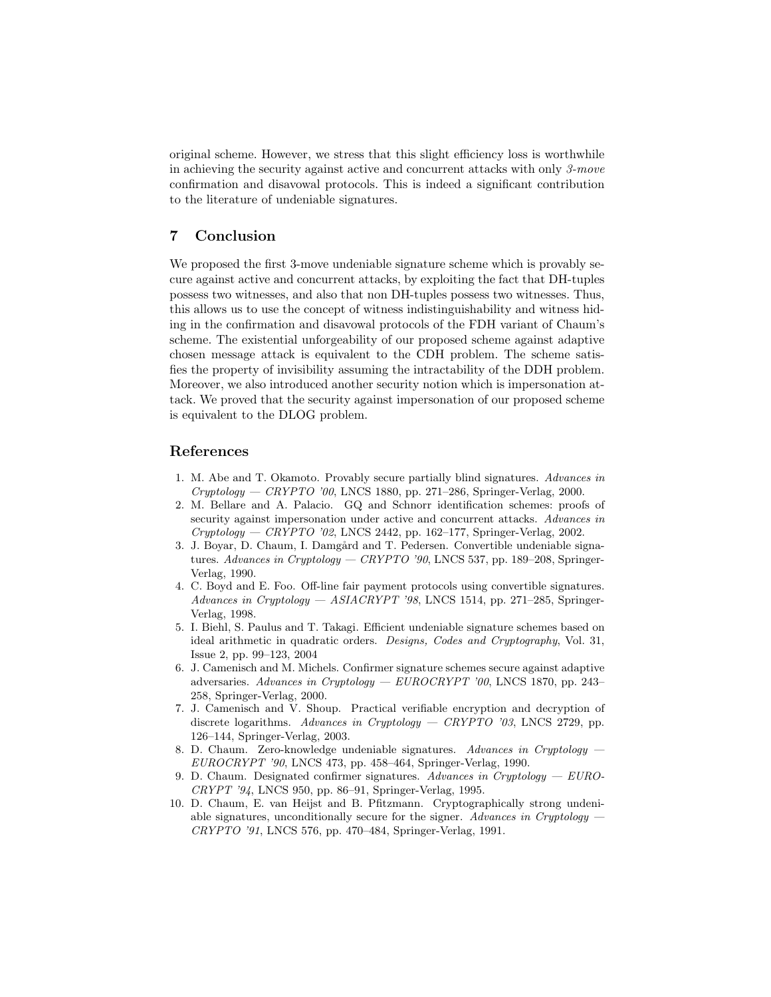original scheme. However, we stress that this slight efficiency loss is worthwhile in achieving the security against active and concurrent attacks with only 3-move confirmation and disavowal protocols. This is indeed a significant contribution to the literature of undeniable signatures.

## 7 Conclusion

We proposed the first 3-move undeniable signature scheme which is provably secure against active and concurrent attacks, by exploiting the fact that DH-tuples possess two witnesses, and also that non DH-tuples possess two witnesses. Thus, this allows us to use the concept of witness indistinguishability and witness hiding in the confirmation and disavowal protocols of the FDH variant of Chaum's scheme. The existential unforgeability of our proposed scheme against adaptive chosen message attack is equivalent to the CDH problem. The scheme satisfies the property of invisibility assuming the intractability of the DDH problem. Moreover, we also introduced another security notion which is impersonation attack. We proved that the security against impersonation of our proposed scheme is equivalent to the DLOG problem.

### References

- 1. M. Abe and T. Okamoto. Provably secure partially blind signatures. Advances in  $Cryptology - CRYPTO'00$ , LNCS 1880, pp. 271–286, Springer-Verlag, 2000.
- 2. M. Bellare and A. Palacio. GQ and Schnorr identification schemes: proofs of security against impersonation under active and concurrent attacks. Advances in  $Cryptography - C RYPTO$  '02, LNCS 2442, pp. 162–177, Springer-Verlag, 2002.
- 3. J. Boyar, D. Chaum, I. Damgård and T. Pedersen. Convertible undeniable signatures. Advances in Cryptology — CRYPTO '90, LNCS 537, pp. 189–208, Springer-Verlag, 1990.
- 4. C. Boyd and E. Foo. Off-line fair payment protocols using convertible signatures. Advances in Cryptology — ASIACRYPT '98, LNCS 1514, pp. 271–285, Springer-Verlag, 1998.
- 5. I. Biehl, S. Paulus and T. Takagi. Efficient undeniable signature schemes based on ideal arithmetic in quadratic orders. Designs, Codes and Cryptography, Vol. 31, Issue 2, pp. 99–123, 2004
- 6. J. Camenisch and M. Michels. Confirmer signature schemes secure against adaptive adversaries. Advances in Cryptology — EUROCRYPT '00, LNCS 1870, pp. 243– 258, Springer-Verlag, 2000.
- 7. J. Camenisch and V. Shoup. Practical verifiable encryption and decryption of discrete logarithms. Advances in Cryptology — CRYPTO '03, LNCS 2729, pp. 126–144, Springer-Verlag, 2003.
- 8. D. Chaum. Zero-knowledge undeniable signatures. Advances in Cryptology EUROCRYPT '90, LNCS 473, pp. 458–464, Springer-Verlag, 1990.
- 9. D. Chaum. Designated confirmer signatures. Advances in Cryptology  $-$  EURO-CRYPT '94, LNCS 950, pp. 86–91, Springer-Verlag, 1995.
- 10. D. Chaum, E. van Heijst and B. Pfitzmann. Cryptographically strong undeniable signatures, unconditionally secure for the signer. Advances in Cryptology  $-$ CRYPTO '91, LNCS 576, pp. 470–484, Springer-Verlag, 1991.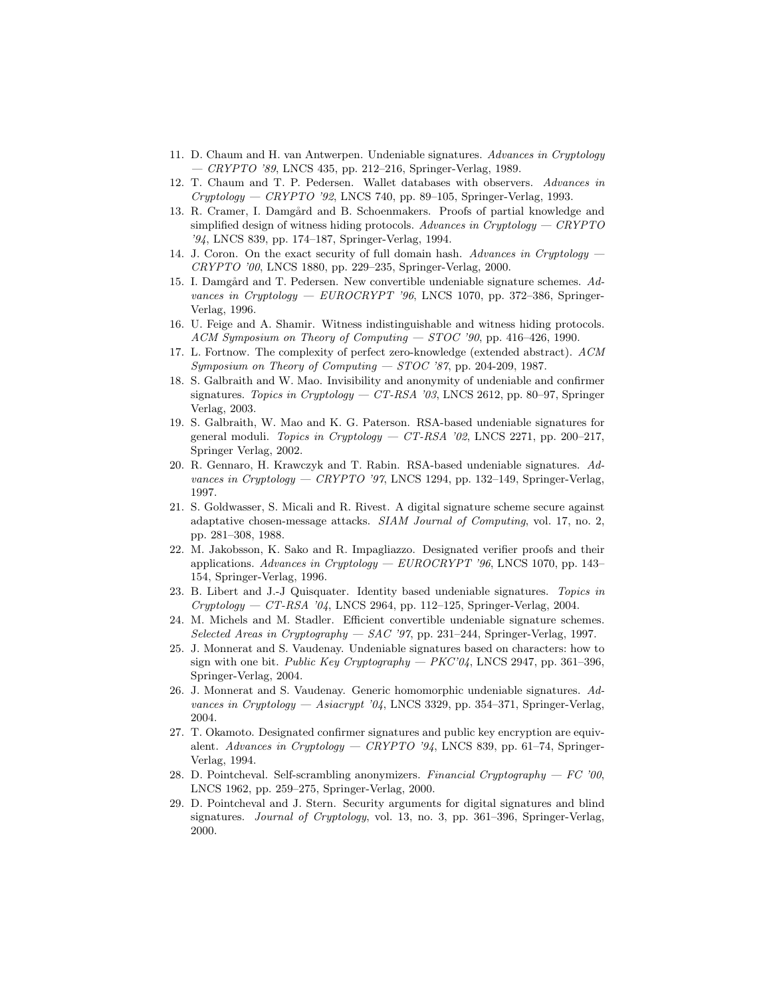- 11. D. Chaum and H. van Antwerpen. Undeniable signatures. Advances in Cryptology  $-CRYPTO$  '89, LNCS 435, pp. 212–216, Springer-Verlag, 1989.
- 12. T. Chaum and T. P. Pedersen. Wallet databases with observers. Advances in  $Cryptology - CRYPTO$  '92, LNCS 740, pp. 89–105, Springer-Verlag, 1993.
- 13. R. Cramer, I. Damgård and B. Schoenmakers. Proofs of partial knowledge and simplified design of witness hiding protocols. Advances in Cryptology  $-$  CRYPTO '94, LNCS 839, pp. 174–187, Springer-Verlag, 1994.
- 14. J. Coron. On the exact security of full domain hash. Advances in Cryptology CRYPTO '00, LNCS 1880, pp. 229–235, Springer-Verlag, 2000.
- 15. I. Damgård and T. Pedersen. New convertible undeniable signature schemes. Advances in Cryptology —  $EUROCRYPT$  '96, LNCS 1070, pp. 372-386, Springer-Verlag, 1996.
- 16. U. Feige and A. Shamir. Witness indistinguishable and witness hiding protocols. ACM Symposium on Theory of Computing  $-$  STOC '90, pp. 416-426, 1990.
- 17. L. Fortnow. The complexity of perfect zero-knowledge (extended abstract). ACM Symposium on Theory of Computing  $-$  STOC '87, pp. 204-209, 1987.
- 18. S. Galbraith and W. Mao. Invisibility and anonymity of undeniable and confirmer signatures. Topics in Cryptology — CT-RSA '03, LNCS 2612, pp. 80–97, Springer Verlag, 2003.
- 19. S. Galbraith, W. Mao and K. G. Paterson. RSA-based undeniable signatures for general moduli. Topics in Cryptology — CT-RSA '02, LNCS 2271, pp. 200-217, Springer Verlag, 2002.
- 20. R. Gennaro, H. Krawczyk and T. Rabin. RSA-based undeniable signatures. Advances in Cryptology — CRYPTO '97, LNCS 1294, pp. 132–149, Springer-Verlag, 1997.
- 21. S. Goldwasser, S. Micali and R. Rivest. A digital signature scheme secure against adaptative chosen-message attacks. SIAM Journal of Computing, vol. 17, no. 2, pp. 281–308, 1988.
- 22. M. Jakobsson, K. Sako and R. Impagliazzo. Designated verifier proofs and their applications. Advances in Cryptology — EUROCRYPT '96, LNCS 1070, pp. 143– 154, Springer-Verlag, 1996.
- 23. B. Libert and J.-J Quisquater. Identity based undeniable signatures. Topics in  $Cryptology - CT-RSA$  '04, LNCS 2964, pp. 112–125, Springer-Verlag, 2004.
- 24. M. Michels and M. Stadler. Efficient convertible undeniable signature schemes. Selected Areas in Cryptography —  $SAC$  '97, pp. 231–244, Springer-Verlag, 1997.
- 25. J. Monnerat and S. Vaudenay. Undeniable signatures based on characters: how to sign with one bit. Public Key Cryptography  $-$  PKC'04, LNCS 2947, pp. 361–396, Springer-Verlag, 2004.
- 26. J. Monnerat and S. Vaudenay. Generic homomorphic undeniable signatures. Advances in Cryptology — Asiacrypt '04, LNCS 3329, pp. 354–371, Springer-Verlag, 2004.
- 27. T. Okamoto. Designated confirmer signatures and public key encryption are equivalent. Advances in Cryptology — CRYPTO '94, LNCS 839, pp. 61–74, Springer-Verlag, 1994.
- 28. D. Pointcheval. Self-scrambling anonymizers. Financial Cryptography  $-FC'00$ , LNCS 1962, pp. 259–275, Springer-Verlag, 2000.
- 29. D. Pointcheval and J. Stern. Security arguments for digital signatures and blind signatures. Journal of Cryptology, vol. 13, no. 3, pp. 361–396, Springer-Verlag, 2000.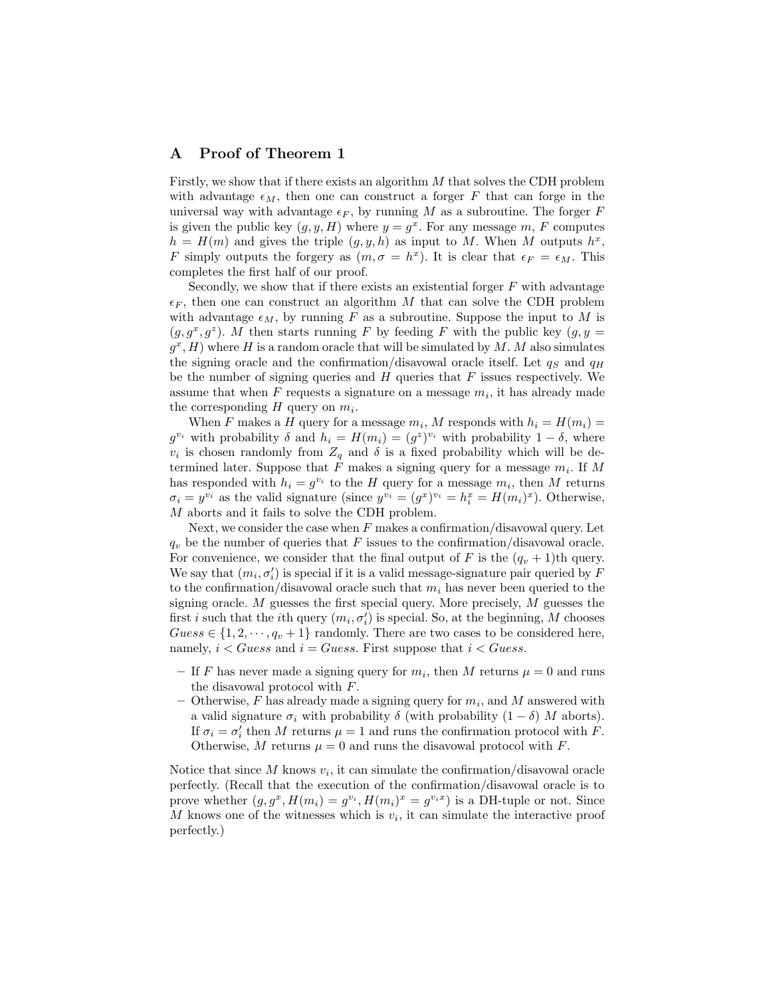# A Proof of Theorem 1

Firstly, we show that if there exists an algorithm M that solves the CDH problem with advantage  $\epsilon_M$ , then one can construct a forger F that can forge in the universal way with advantage  $\epsilon_F$ , by running M as a subroutine. The forger F is given the public key  $(g, y, H)$  where  $y = g^x$ . For any message m, F computes  $h = H(m)$  and gives the triple  $(g, y, h)$  as input to M. When M outputs  $h^x$ , F simply outputs the forgery as  $(m, \sigma = h^x)$ . It is clear that  $\epsilon_F = \epsilon_M$ . This completes the first half of our proof.

Secondly, we show that if there exists an existential forger  $F$  with advantage  $\epsilon_F$ , then one can construct an algorithm M that can solve the CDH problem with advantage  $\epsilon_M$ , by running F as a subroutine. Suppose the input to M is  $(g, g^x, g^z)$ . M then starts running F by feeding F with the public key  $(g, y =$  $(g^x, H)$  where H is a random oracle that will be simulated by M. M also simulates the signing oracle and the confirmation/disavowal oracle itself. Let  $q_S$  and  $q_H$ be the number of signing queries and  $H$  queries that  $F$  issues respectively. We assume that when  $F$  requests a signature on a message  $m_i$ , it has already made the corresponding  $H$  query on  $m_i$ .

When F makes a H query for a message  $m_i$ , M responds with  $h_i = H(m_i) =$  $g^{v_i}$  with probability  $\delta$  and  $h_i = H(m_i) = (g^z)^{v_i}$  with probability  $1 - \delta$ , where  $v_i$  is chosen randomly from  $Z_q$  and  $\delta$  is a fixed probability which will be determined later. Suppose that F makes a signing query for a message  $m_i$ . If M has responded with  $h_i = g^{v_i}$  to the H query for a message  $m_i$ , then M returns  $\sigma_i = y^{v_i}$  as the valid signature (since  $y^{v_i} = (g^x)^{v_i} = h^x_i = H(m_i)^x$ ). Otherwise, M aborts and it fails to solve the CDH problem.

Next, we consider the case when  $F$  makes a confirmation/disavowal query. Let  $q_v$  be the number of queries that F issues to the confirmation/disavowal oracle. For convenience, we consider that the final output of F is the  $(q_v + 1)$ th query. We say that  $(m_i, \sigma'_i)$  is special if it is a valid message-signature pair queried by  $\tilde{F}$ to the confirmation/disavowal oracle such that  $m_i$  has never been queried to the signing oracle. M guesses the first special query. More precisely, M guesses the first i such that the ith query  $(m_i, \sigma'_i)$  is special. So, at the beginning, M chooses  $Guses \in \{1, 2, \dots, q_v + 1\}$  randomly. There are two cases to be considered here, namely,  $i < Guess$  and  $i = Guess$ . First suppose that  $i < Guess$ .

- If F has never made a signing query for  $m_i$ , then M returns  $\mu = 0$  and runs the disavowal protocol with F.
- Otherwise,  $F$  has already made a signing query for  $m_i$ , and  $M$  answered with a valid signature  $\sigma_i$  with probability  $\delta$  (with probability  $(1 - \delta)$ ) M aborts). If  $\sigma_i = \sigma'_i$  then M returns  $\mu = 1$  and runs the confirmation protocol with F. Otherwise, M returns  $\mu = 0$  and runs the disavowal protocol with F.

Notice that since  $M$  knows  $v_i$ , it can simulate the confirmation/disavowal oracle perfectly. (Recall that the execution of the confirmation/disavowal oracle is to prove whether  $(g, g^x, H(m_i) = g^{v_i}, H(m_i)^x = g^{v_i x})$  is a DH-tuple or not. Since  $M$  knows one of the witnesses which is  $v_i$ , it can simulate the interactive proof perfectly.)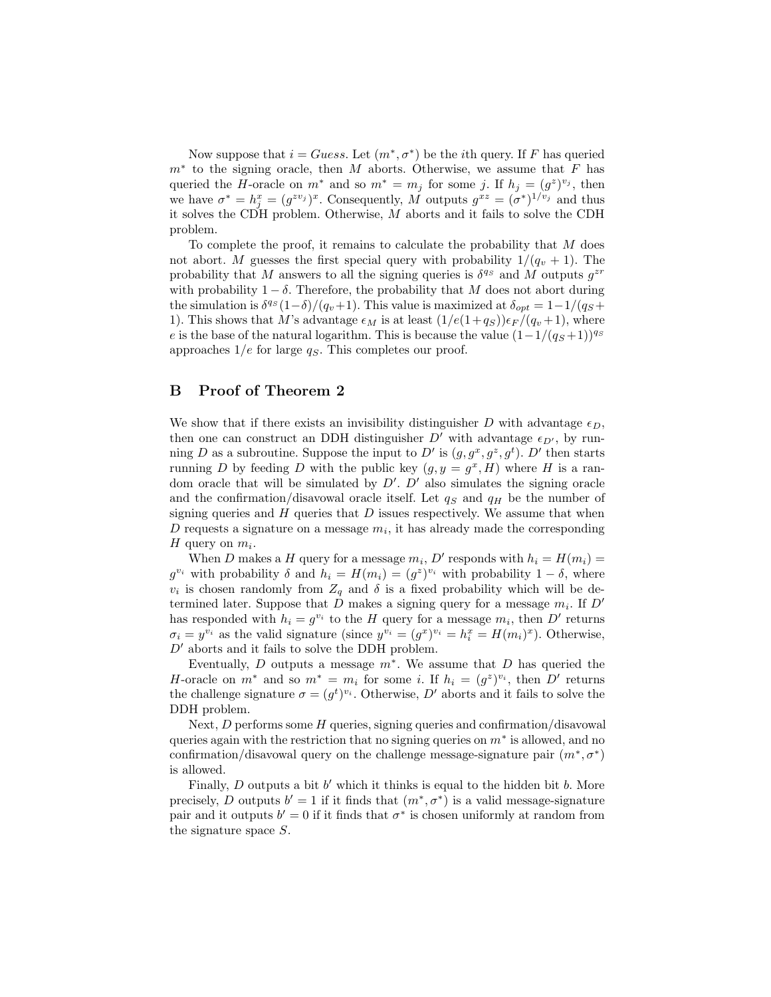Now suppose that  $i = Guess$ . Let  $(m^*, \sigma^*)$  be the *i*th query. If F has queried  $m^*$  to the signing oracle, then M aborts. Otherwise, we assume that F has queried the H-oracle on  $m^*$  and so  $m^* = m_j$  for some j. If  $h_j = (g^z)^{v_j}$ , then we have  $\sigma^* = h_j^x = (g^{zv_j})^x$ . Consequently, M outputs  $g^{xz} = (\sigma^*)^{1/v_j}$  and thus it solves the CDH problem. Otherwise, M aborts and it fails to solve the CDH problem.

To complete the proof, it remains to calculate the probability that  $M$  does not abort. M guesses the first special query with probability  $1/(q_v + 1)$ . The probability that M answers to all the signing queries is  $\delta^{qs}$  and M outputs  $g^{zr}$ with probability  $1 - \delta$ . Therefore, the probability that M does not abort during the simulation is  $\delta^{qs}(1-\delta)/(q_v+1)$ . This value is maximized at  $\delta_{opt} = 1-1/(q_S+1)$ 1). This shows that M's advantage  $\epsilon_M$  is at least  $(1/e(1+q_S))\epsilon_F/(q_v+1)$ , where e is the base of the natural logarithm. This is because the value  $(1-1/(q<sub>S</sub>+1))^{qs}$ approaches  $1/e$  for large  $q_S$ . This completes our proof.

### B Proof of Theorem 2

We show that if there exists an invisibility distinguisher D with advantage  $\epsilon_D$ , then one can construct an DDH distinguisher  $D'$  with advantage  $\epsilon_{D'}$ , by running D as a subroutine. Suppose the input to D' is  $(g, g^x, g^z, g^t)$ . D' then starts running D by feeding D with the public key  $(g, y = g^x, H)$  where H is a random oracle that will be simulated by  $D'$ .  $D'$  also simulates the signing oracle and the confirmation/disavowal oracle itself. Let  $q_S$  and  $q_H$  be the number of signing queries and  $H$  queries that  $D$  issues respectively. We assume that when D requests a signature on a message  $m_i$ , it has already made the corresponding  $H$  query on  $m_i$ .

When D makes a H query for a message  $m_i$ , D' responds with  $h_i = H(m_i) =$  $g^{v_i}$  with probability  $\delta$  and  $h_i = H(m_i) = (g^z)^{v_i}$  with probability  $1 - \delta$ , where  $v_i$  is chosen randomly from  $Z_q$  and  $\delta$  is a fixed probability which will be determined later. Suppose that  $\overrightarrow{D}$  makes a signing query for a message  $m_i$ . If  $D'$ has responded with  $h_i = g^{v_i}$  to the H query for a message  $m_i$ , then D' returns  $\sigma_i = y^{v_i}$  as the valid signature (since  $y^{v_i} = (g^x)^{v_i} = h^x_i = H(m_i)^x$ ). Otherwise,  $D'$  aborts and it fails to solve the DDH problem.

Eventually, D outputs a message  $m^*$ . We assume that D has queried the H-oracle on  $m^*$  and so  $m^* = m_i$  for some i. If  $h_i = (g^z)^{v_i}$ , then  $D'$  returns the challenge signature  $\sigma = (g^t)^{v_i}$ . Otherwise, D' aborts and it fails to solve the DDH problem.

Next,  $D$  performs some  $H$  queries, signing queries and confirmation/disavowal queries again with the restriction that no signing queries on  $m^*$  is allowed, and no confirmation/disavowal query on the challenge message-signature pair  $(m^*, \sigma^*)$ is allowed.

Finally,  $D$  outputs a bit  $b'$  which it thinks is equal to the hidden bit  $b$ . More precisely, D outputs  $b' = 1$  if it finds that  $(m^*, \sigma^*)$  is a valid message-signature pair and it outputs  $b' = 0$  if it finds that  $\sigma^*$  is chosen uniformly at random from the signature space S.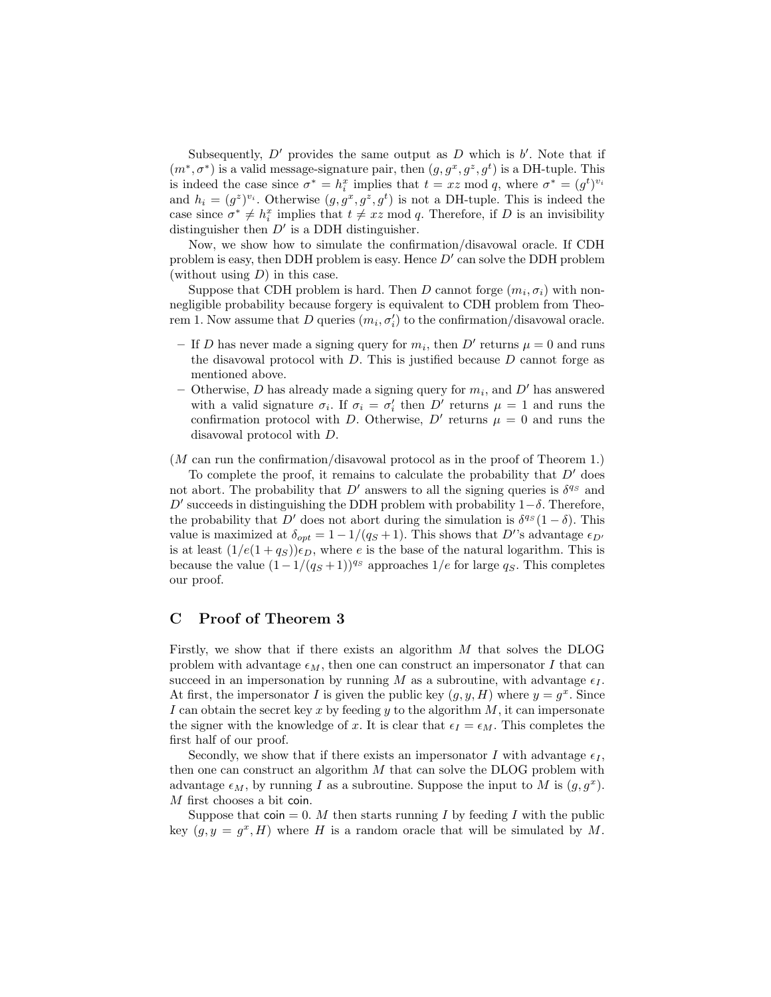Subsequently,  $D'$  provides the same output as  $D$  which is  $b'$ . Note that if  $(m^*, \sigma^*)$  is a valid message-signature pair, then  $(g, g^x, g^z, g^t)$  is a DH-tuple. This is indeed the case since  $\sigma^* = h_i^x$  implies that  $t = xz \mod q$ , where  $\sigma^* = (g^t)^{v_i}$ and  $h_i = (g^z)^{v_i}$ . Otherwise  $(g, g^x, g^z, g^t)$  is not a DH-tuple. This is indeed the case since  $\sigma^* \neq h_i^x$  implies that  $t \neq xz$  mod q. Therefore, if D is an invisibility distinguisher then  $D'$  is a DDH distinguisher.

Now, we show how to simulate the confirmation/disavowal oracle. If CDH problem is easy, then DDH problem is easy. Hence  $D'$  can solve the DDH problem (without using  $D$ ) in this case.

Suppose that CDH problem is hard. Then D cannot forge  $(m_i, \sigma_i)$  with nonnegligible probability because forgery is equivalent to CDH problem from Theorem 1. Now assume that D queries  $(m_i, \sigma'_i)$  to the confirmation/disavowal oracle.

- If D has never made a signing query for  $m_i$ , then D' returns  $\mu = 0$  and runs the disavowal protocol with  $D$ . This is justified because  $D$  cannot forge as mentioned above.
- Otherwise, D has already made a signing query for  $m_i$ , and D' has answered with a valid signature  $\sigma_i$ . If  $\sigma_i = \sigma'_i$  then  $D'$  returns  $\mu = 1$  and runs the confirmation protocol with D. Otherwise,  $D'$  returns  $\mu = 0$  and runs the disavowal protocol with D.

(M can run the confirmation/disavowal protocol as in the proof of Theorem 1.) To complete the proof, it remains to calculate the probability that  $D'$  does not abort. The probability that  $D'$  answers to all the signing queries is  $\delta^{qs}$  and D' succeeds in distinguishing the DDH problem with probability  $1-\delta$ . Therefore, the probability that  $D'$  does not abort during the simulation is  $\delta^{qs}(1-\delta)$ . This value is maximized at  $\delta_{opt} = 1 - 1/(q_S + 1)$ . This shows that D''s advantage  $\epsilon_{D'}$ is at least  $(1/e(1+q<sub>S</sub>))\epsilon_D$ , where e is the base of the natural logarithm. This is because the value  $(1-1/(q<sub>S</sub>+1))^{q<sub>S</sub>}$  approaches  $1/e$  for large  $q<sub>S</sub>$ . This completes our proof.

# C Proof of Theorem 3

Firstly, we show that if there exists an algorithm M that solves the DLOG problem with advantage  $\epsilon_M$ , then one can construct an impersonator I that can succeed in an impersonation by running M as a subroutine, with advantage  $\epsilon_I$ . At first, the impersonator I is given the public key  $(g, y, H)$  where  $y = g^x$ . Since I can obtain the secret key x by feeding y to the algorithm  $M$ , it can impersonate the signer with the knowledge of x. It is clear that  $\epsilon_I = \epsilon_M$ . This completes the first half of our proof.

Secondly, we show that if there exists an impersonator I with advantage  $\epsilon_I$ , then one can construct an algorithm M that can solve the DLOG problem with advantage  $\epsilon_M$ , by running I as a subroutine. Suppose the input to M is  $(g, g^x)$ . M first chooses a bit coin.

Suppose that  $\text{coin} = 0$ . M then starts running I by feeding I with the public key  $(g, y = g^x, H)$  where H is a random oracle that will be simulated by M.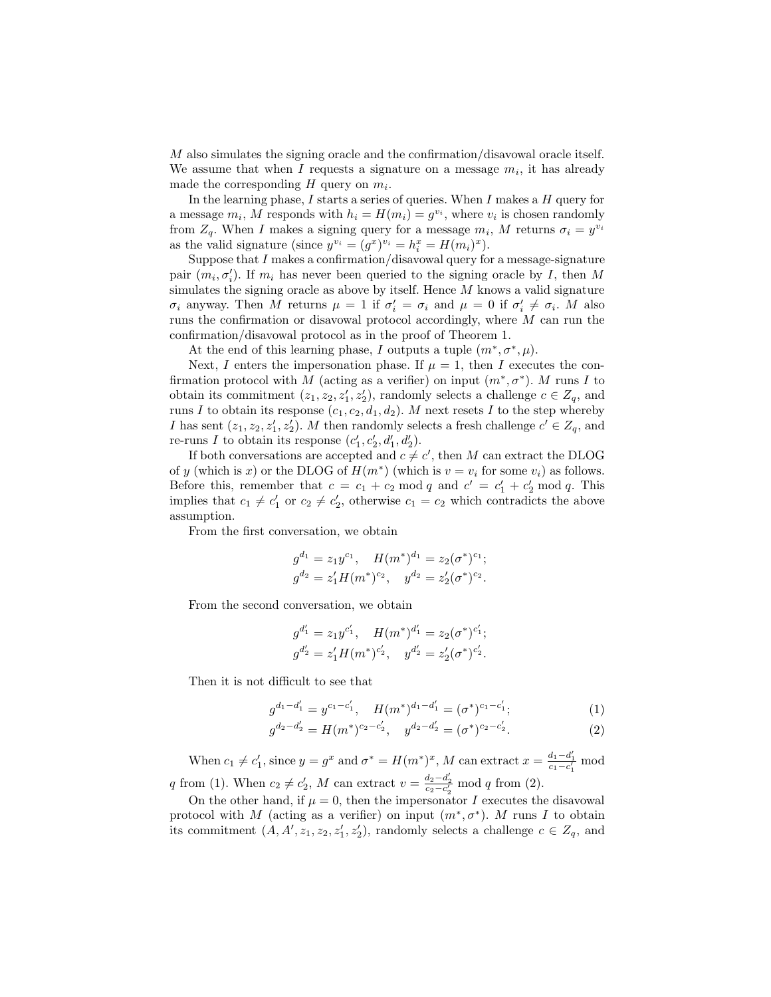M also simulates the signing oracle and the confirmation/disavowal oracle itself. We assume that when  $I$  requests a signature on a message  $m_i$ , it has already made the corresponding  $H$  query on  $m_i$ .

In the learning phase,  $I$  starts a series of queries. When  $I$  makes a  $H$  query for a message  $m_i$ , M responds with  $h_i = H(m_i) = g^{v_i}$ , where  $v_i$  is chosen randomly from  $Z_q$ . When I makes a signing query for a message  $m_i$ , M returns  $\sigma_i = y^{v_i}$ as the valid signature (since  $y^{v_i} = (g^x)^{v_i} = h^x_i = H(m_i)^x$ ).

Suppose that I makes a confirmation/disavowal query for a message-signature pair  $(m_i, \sigma'_i)$ . If  $m_i$  has never been queried to the signing oracle by I, then M simulates the signing oracle as above by itself. Hence  $M$  knows a valid signature  $\sigma_i$  anyway. Then M returns  $\mu = 1$  if  $\sigma'_i = \sigma_i$  and  $\mu = 0$  if  $\sigma'_i \neq \sigma_i$ . M also runs the confirmation or disavowal protocol accordingly, where M can run the confirmation/disavowal protocol as in the proof of Theorem 1.

At the end of this learning phase, I outputs a tuple  $(m^*, \sigma^*, \mu)$ .

Next, I enters the impersonation phase. If  $\mu = 1$ , then I executes the confirmation protocol with M (acting as a verifier) on input  $(m^*, \sigma^*)$ . M runs I to obtain its commitment  $(z_1, z_2, z'_1, z'_2)$ , randomly selects a challenge  $c \in Z_q$ , and runs I to obtain its response  $(c_1, c_2, d_1, d_2)$ . M next resets I to the step whereby I has sent  $(z_1, z_2, z'_1, z'_2)$ . M then randomly selects a fresh challenge  $c' \in Z_q$ , and re-runs I to obtain its response  $(c'_1, c'_2, d'_1, d'_2)$ .

If both conversations are accepted and  $c \neq c'$ , then M can extract the DLOG of y (which is x) or the DLOG of  $H(m^*)$  (which is  $v = v_i$  for some  $v_i$ ) as follows. Before this, remember that  $c = c_1 + c_2 \mod q$  and  $c' = c_1' + c_2' \mod q$ . This implies that  $c_1 \neq c_1'$  or  $c_2 \neq c_2'$ , otherwise  $c_1 = c_2$  which contradicts the above assumption.

From the first conversation, we obtain

$$
g^{d_1} = z_1 y^{c_1}, \quad H(m^*)^{d_1} = z_2 (\sigma^*)^{c_1};
$$
  

$$
g^{d_2} = z'_1 H(m^*)^{c_2}, \quad y^{d_2} = z'_2 (\sigma^*)^{c_2}.
$$

From the second conversation, we obtain

$$
g^{d'_1} = z_1 y^{c'_1}, \quad H(m^*)^{d'_1} = z_2 (\sigma^*)^{c'_1};
$$
  

$$
g^{d'_2} = z'_1 H(m^*)^{c'_2}, \quad y^{d'_2} = z'_2 (\sigma^*)^{c'_2}.
$$

Then it is not difficult to see that

$$
g^{d_1 - d_1'} = y^{c_1 - c_1'}, \quad H(m^*)^{d_1 - d_1'} = (\sigma^*)^{c_1 - c_1'};
$$
\n(1)

$$
g^{d_2 - d'_2} = H(m^*)^{c_2 - c'_2}, \quad y^{d_2 - d'_2} = (\sigma^*)^{c_2 - c'_2}.
$$
 (2)

When  $c_1 \neq c'_1$ , since  $y = g^x$  and  $\sigma^* = H(m^*)^x$ , M can extract  $x = \frac{d_1 - d'_1}{c_1 - c'_1}$  mod q from (1). When  $c_2 \neq c'_2$ , M can extract  $v = \frac{d_2 - d'_2}{c_2 - c'_2} \mod q$  from (2).

On the other hand, if  $\mu = 0$ , then the impersonator I executes the disavowal protocol with M (acting as a verifier) on input  $(m^*, \sigma^*)$ . M runs I to obtain its commitment  $(A, A', z_1, z_2, z'_1, z'_2)$ , randomly selects a challenge  $c \in Z_q$ , and